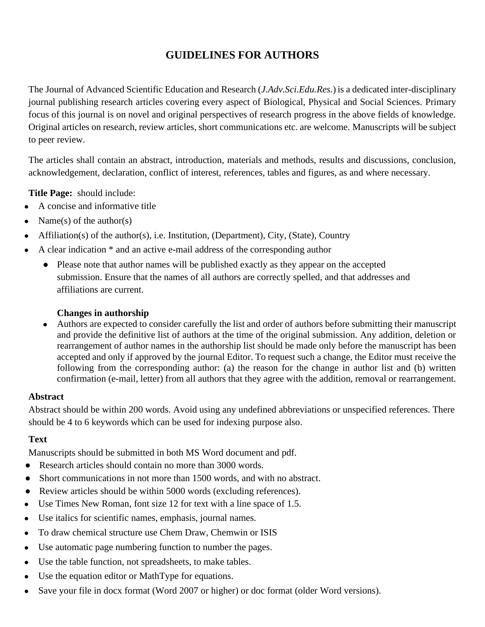# **GUIDELINES FOR AUTHORS**

The Journal of Advanced Scientific Education and Research (*J.Adv.Sci.Edu.Res.*) is a dedicated inter-disciplinary journal publishing research articles covering every aspect of Biological, Physical and Social Sciences. Primary focus of this journal is on novel and original perspectives of research progress in the above fields of knowledge. Original articles on research, review articles, short communications etc. are welcome. Manuscripts will be subject to peer review.

The articles shall contain an abstract, introduction, materials and methods, results and discussions, conclusion, acknowledgement, declaration, conflict of interest, references, tables and figures, as and where necessary.

**Title Page:** should include:

- A concise and informative title
- Name(s) of the author(s)
- Affiliation(s) of the author(s), i.e. Institution, (Department), City, (State), Country
- A clear indication \* and an active e-mail address of the corresponding author
	- Please note that author names will be published exactly as they appear on the accepted submission. Ensure that the names of all authors are correctly spelled, and that addresses and affiliations are current.

### **Changes in authorship**

● Authors are expected to consider carefully the list and order of authors before submitting their manuscript and provide the definitive list of authors at the time of the original submission. Any addition, deletion or rearrangement of author names in the authorship list should be made only before the manuscript has been accepted and only if approved by the journal Editor. To request such a change, the Editor must receive the following from the corresponding author: (a) the reason for the change in author list and (b) written confirmation (e-mail, letter) from all authors that they agree with the addition, removal or rearrangement.

### **Abstract**

Abstract should be within 200 words. Avoid using any undefined abbreviations or unspecified references. There should be 4 to 6 keywords which can be used for indexing purpose also.

### **Text**

Manuscripts should be submitted in both MS Word document and pdf.

- Research articles should contain no more than 3000 words.
- Short communications in not more than 1500 words, and with no abstract.
- Review articles should be within 5000 words (excluding references).
- Use Times New Roman, font size 12 for text with a line space of 1.5.
- Use italics for scientific names, emphasis, journal names.
- To draw chemical structure use Chem Draw, Chemwin or ISIS
- Use automatic page numbering function to number the pages.
- Use the table function, not spreadsheets, to make tables.
- Use the equation editor or MathType for equations.
- Save your file in docx format (Word 2007 or higher) or doc format (older Word versions).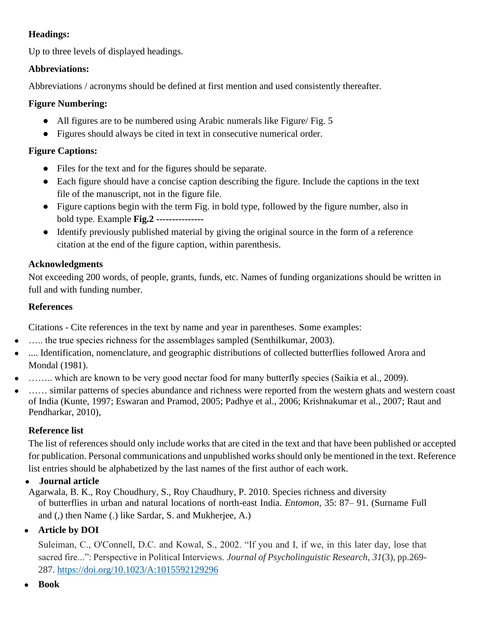### **Headings:**

Up to three levels of displayed headings.

### **Abbreviations:**

Abbreviations / acronyms should be defined at first mention and used consistently thereafter.

### **Figure Numbering:**

- All figures are to be numbered using Arabic numerals like Figure/ Fig. 5
- Figures should always be cited in text in consecutive numerical order.

## **Figure Captions:**

- Files for the text and for the figures should be separate.
- Each figure should have a concise caption describing the figure. Include the captions in the text file of the manuscript, not in the figure file.
- Figure captions begin with the term Fig. in bold type, followed by the figure number, also in bold type. Example **Fig.2 ---------------**
- Identify previously published material by giving the original source in the form of a reference citation at the end of the figure caption, within parenthesis.

# **Acknowledgments**

Not exceeding 200 words, of people, grants, funds, etc. Names of funding organizations should be written in full and with funding number.

## **References**

Citations - Cite references in the text by name and year in parentheses. Some examples:

- ..... the true species richness for the assemblages sampled (Senthilkumar, 2003).
- .... Identification, nomenclature, and geographic distributions of collected butterflies followed Arora and Mondal (1981).
- ....... which are known to be very good nectar food for many butterfly species (Saikia et al., 2009).
- ...... similar patterns of species abundance and richness were reported from the western ghats and western coast of India (Kunte, 1997; Eswaran and Pramod, 2005; Padhye et al., 2006; Krishnakumar et al., 2007; Raut and Pendharkar, 2010),

# **Reference list**

The list of references should only include works that are cited in the text and that have been published or accepted for publication. Personal communications and unpublished works should only be mentioned in the text. Reference list entries should be alphabetized by the last names of the first author of each work.

# ● **Journal article**

Agarwala, B. K., Roy Choudhury, S., Roy Chaudhury, P. 2010. Species richness and diversity of butterflies in urban and natural locations of north-east India. *Entomon,* 35: 87– 91. (Surname Full and (,) then Name (.) like Sardar, S. and Mukherjee, A.)

# ● **Article by DOI**

Suleiman, C., O'Connell, D.C. and Kowal, S., 2002. "If you and I, if we, in this later day, lose that sacred fire...": Perspective in Political Interviews. *Journal of Psycholinguistic Research*, *31*(3), pp.269- 287. <https://doi.org/10.1023/A:1015592129296>

● **Book**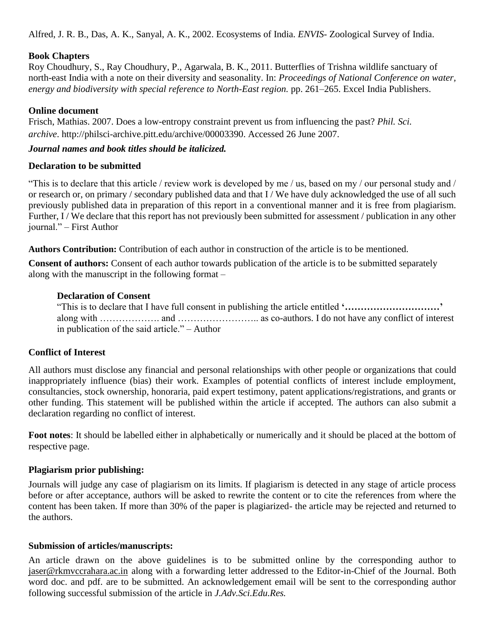Alfred, J. R. B., Das, A. K., Sanyal, A. K., 2002. Ecosystems of India. *ENVIS*- Zoological Survey of India.

### **Book Chapters**

Roy Choudhury, S., Ray Choudhury, P., Agarwala, B. K., 2011. Butterflies of Trishna wildlife sanctuary of north-east India with a note on their diversity and seasonality. In: *Proceedings of National Conference on water, energy and biodiversity with special reference to North-East region.* pp. 261–265. Excel India Publishers.

### **Online document**

Frisch, Mathias. 2007. Does a low-entropy constraint prevent us from influencing the past? *Phil. Sci. archive*. http://philsci-archive.pitt.edu/archive/00003390. Accessed 26 June 2007.

### *Journal names and book titles should be italicized.*

#### **Declaration to be submitted**

"This is to declare that this article / review work is developed by me / us, based on my / our personal study and / or research or, on primary / secondary published data and that I / We have duly acknowledged the use of all such previously published data in preparation of this report in a conventional manner and it is free from plagiarism. Further, I / We declare that this report has not previously been submitted for assessment / publication in any other journal." – First Author

**Authors Contribution:** Contribution of each author in construction of the article is to be mentioned.

**Consent of authors:** Consent of each author towards publication of the article is to be submitted separately along with the manuscript in the following format –

### **Declaration of Consent**

"This is to declare that I have full consent in publishing the article entitled **'…………………………'** along with ………………. and …………………….. as co-authors. I do not have any conflict of interest in publication of the said article." – Author

### **Conflict of Interest**

All authors must disclose any financial and personal relationships with other people or organizations that could inappropriately influence (bias) their work. Examples of potential conflicts of interest include employment, consultancies, stock ownership, honoraria, paid expert testimony, patent applications/registrations, and grants or other funding. This statement will be published within the article if accepted. The authors can also submit a declaration regarding no conflict of interest.

**Foot notes**: It should be labelled either in alphabetically or numerically and it should be placed at the bottom of respective page.

### **Plagiarism prior publishing:**

Journals will judge any case of plagiarism on its limits. If plagiarism is detected in any stage of article process before or after acceptance, authors will be asked to rewrite the content or to cite the references from where the content has been taken. If more than 30% of the paper is plagiarized- the article may be rejected and returned to the authors.

### **Submission of articles/manuscripts:**

An article drawn on the above guidelines is to be submitted online by the corresponding author to [jaser@rkmvccrahara.ac.in](mailto:jaser@rkmvccrahara.ac.in) along with a forwarding letter addressed to the Editor-in-Chief of the Journal. Both word doc. and pdf. are to be submitted. An acknowledgement email will be sent to the corresponding author following successful submission of the article in *J.Adv.Sci.Edu.Res.*